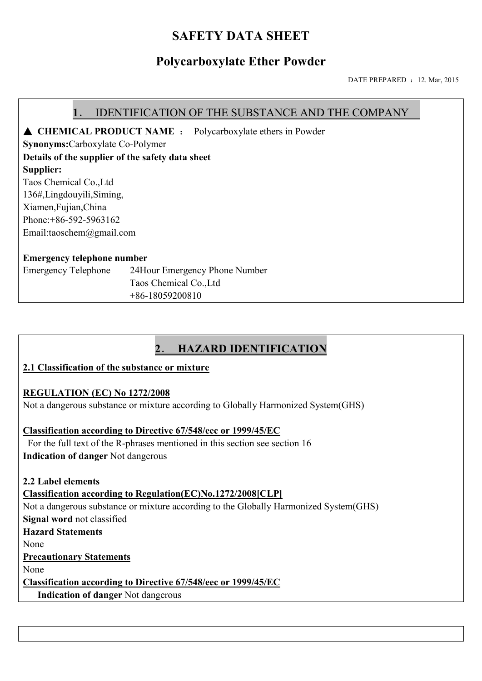## **SAFETY DATA SHEET**

## **Polycarboxylate Ether Powder**

DATE PREPARED : 12. Mar, 2015

#### **1**. IDENTIFICATION OF THE SUBSTANCE AND THE COMPANY

▲ **CHEMICAL PRODUCT NAME** : Polycarboxylate ethers in Powder

**Synonyms:**Carboxylate Co-Polymer

**Details of the supplier of the safety data sheet**

**Supplier:**

Taos Chemical Co.,Ltd 136#,Lingdouyili,Siming, Xiamen,Fujian,China

Phone:+86-592-5963162

Email:taoschem@gmail.com

#### **Emergency telephone number**

Emergency Telephone 24Hour Emergency Phone Number Taos Chemical Co.,Ltd +86-18059200810

## **2**. **HAZARD IDENTIFICATION**

#### **2.1 Classification of the substance or mixture**

#### **REGULATION (EC) No 1272/2008**

Not a dangerous substance or mixture according to Globally Harmonized System(GHS)

#### **Classification according to Directive 67/548/eec or 1999/45/EC**

 For the full text of the R-phrases mentioned in this section see section 16 **Indication of danger** Not dangerous

**2.2 Label elements**

**Classification according to Regulation(EC)No.1272/2008[CLP]** Not a dangerous substance or mixture according to the Globally Harmonized System(GHS) **Signal word** not classified **Hazard Statements** None **Precautionary Statements** None **Classification according to Directive 67/548/eec or 1999/45/EC**

**Indication of danger** Not dangerous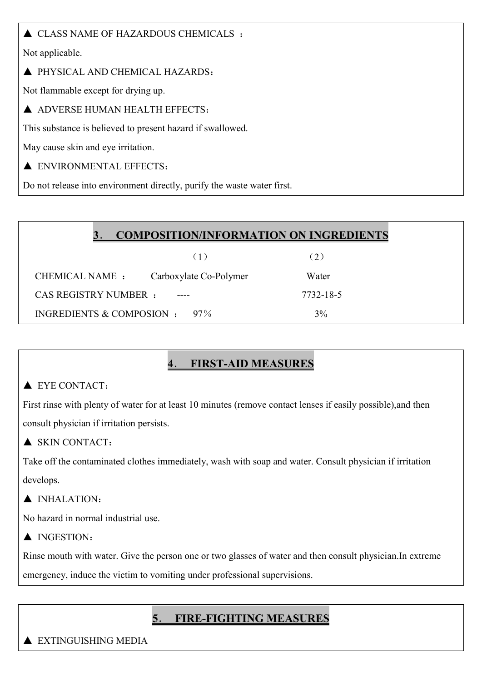### $\triangle$  CLASS NAME OF HAZARDOUS CHEMICALS :

Not applicable.

#### ▲ PHYSICAL AND CHEMICAL HAZARDS:

Not flammable except for drying up.

▲ ADVERSE HUMAN HEALTH EFFECTS:

This substance is believed to present hazard if swallowed.

May cause skin and eye irritation.

### A ENVIRONMENTAL EFFECTS:

Do not release into environment directly, purify the waste water first.

|  |  | <b>COMPOSITION/INFORMATION ON INGREDIENTS</b> |  |
|--|--|-----------------------------------------------|--|
|--|--|-----------------------------------------------|--|

|                                  | (1)                    | (2)       |
|----------------------------------|------------------------|-----------|
| CHEMICAL NAME :                  | Carboxylate Co-Polymer | Water     |
| CAS REGISTRY NUMBER :            |                        | 7732-18-5 |
| INGREDIENTS & COMPOSION : $97\%$ |                        | 3%        |

## **4**. **FIRST-AID MEASURES**

### ▲ EYE CONTACT:

First rinse with plenty of water for at least 10 minutes (remove contact lenses if easily possible),and then consult physician if irritation persists.

### ▲ SKIN CONTACT:

Take off the contaminated clothes immediately, wash with soap and water. Consult physician if irritation develops.

### ▲ INHALATION:

No hazard in normal industrial use.

▲ INGESTION:

Rinse mouth with water. Give the person one or two glasses of water and then consult physician.In extreme

emergency, induce the victim to vomiting under professional supervisions.

## **5**. **FIRE-FIGHTING MEASURES**

#### ▲ EXTINGUISHING MEDIA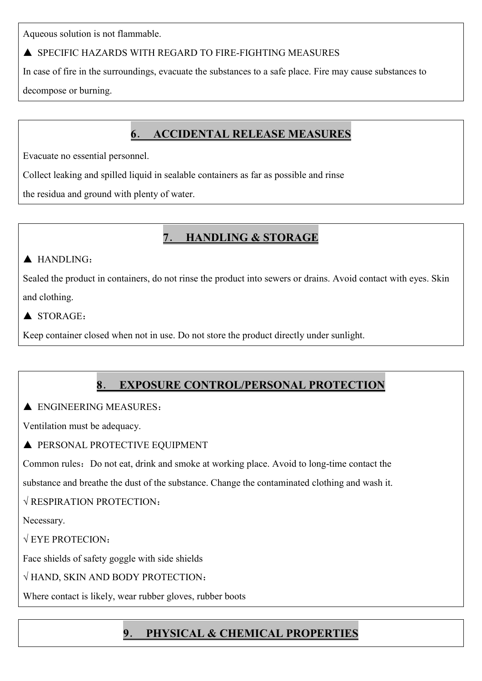Aqueous solution is not flammable.

### ▲ SPECIFIC HAZARDS WITH REGARD TO FIRE-FIGHTING MEASURES

In case of fire in the surroundings, evacuate the substances to a safe place. Fire may cause substances to decompose or burning.

# **6**. **ACCIDENTAL RELEASE MEASURES**

Evacuate no essential personnel.

Collect leaking and spilled liquid in sealable containers as far as possible and rinse

the residua and ground with plenty of water.

# **7**. **HANDLING & STORAGE**

### ▲ HANDLING:

Sealed the product in containers, do not rinse the product into sewers or drains. Avoid contact with eyes. Skin and clothing.

### $\triangle$  STORAGE.

Keep container closed when not in use. Do not store the product directly under sunlight.

# **8**. **EXPOSURE CONTROL/PERSONAL PROTECTION**

### $\triangle$  ENGINEERING MEASURES:

Ventilation must be adequacy.

### $\blacktriangle$  PERSONAL PROTECTIVE EQUIPMENT

Common rules: Do not eat, drink and smoke at working place. Avoid to long-time contact the

substance and breathe the dust of the substance. Change the contaminated clothing and wash it.

### √ RESPIRATION PROTECTION:

Necessary.

 $\sqrt{E}$  EYE PROTECION:

Face shields of safety goggle with side shields

### √ HAND, SKIN AND BODY PROTECTION:

Where contact is likely, wear rubber gloves, rubber boots

# **9**. **PHYSICAL & CHEMICAL PROPERTIES**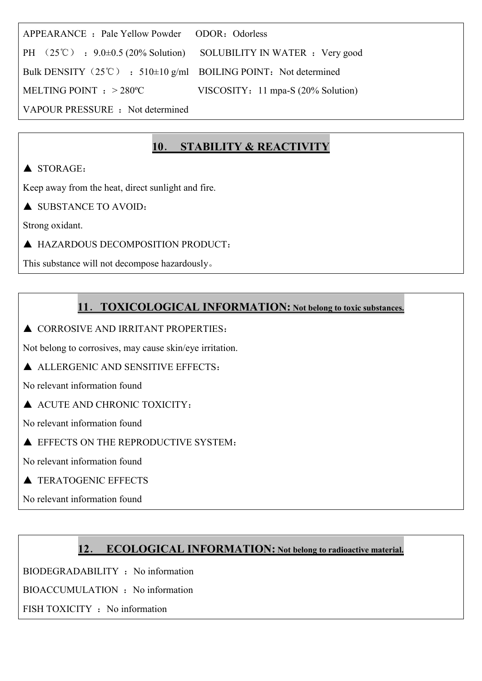| APPEARANCE: Pale Yellow Powder ODOR: Odorless                                            |                                    |  |  |
|------------------------------------------------------------------------------------------|------------------------------------|--|--|
| PH $(25^{\circ}\text{C})$ : 9.0 $\pm$ 0.5 (20% Solution) SOLUBILITY IN WATER : Very good |                                    |  |  |
| Bulk DENSITY (25°C) : 510 $\pm$ 10 g/ml BOILING POINT: Not determined                    |                                    |  |  |
| MELTING POINT $: > 280^{\circ}$ C                                                        | VISCOSITY: 11 mpa-S (20% Solution) |  |  |
| VAPOUR PRESSURE : Not determined                                                         |                                    |  |  |

## **10**. **STABILITY & REACTIVITY**

### $\triangle$  STORAGE:

Keep away from the heat, direct sunlight and fire.

▲ SUBSTANCE TO AVOID:

Strong oxidant.

▲ HAZARDOUS DECOMPOSITION PRODUCT:

This substance will not decompose hazardously。

### **11**.**TOXICOLOGICAL INFORMATION: Not belong to toxic substances.**

▲ CORROSIVE AND IRRITANT PROPERTIES:

Not belong to corrosives, may cause skin/eye irritation.

▲ ALLERGENIC AND SENSITIVE EFFECTS:

No relevant information found

▲ ACUTE AND CHRONIC TOXICITY:

No relevant information found

A EFFECTS ON THE REPRODUCTIVE SYSTEM:

No relevant information found

**A TERATOGENIC EFFECTS** 

No relevant information found

### **12**. **ECOLOGICAL INFORMATION: Not belong to radioactive material.**

BIODEGRADABILITY : No information

BIOACCUMULATION : No information

FISH TOXICITY : No information